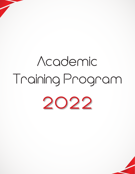# Academic Training Program **2022**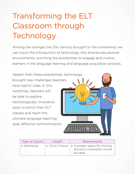## Transforming the ELT Classroom through Technology

Among the changes the 21st century brought to the humankind, we can count the introduction of technology into diverse educational environments, enriching the possibilities to engage and involve learners in the language learning and language acquisition process.

Appart from these possibilities, technology brought new challenges teachers  $\sqrt{}$ have had to cope. In this workshop, teachers will be able to explore technologically innovative tools to enrich their ELT classes and reach the ultimate language teaching goal, effective communication.

| Type of course | Length | <b>Requirements</b>                                                                               |
|----------------|--------|---------------------------------------------------------------------------------------------------|
| • Workshop     |        | $\circ$ 2.5 to 3 hours $\circ$ A proper space for moving<br>around, a classroom would<br>be ideal |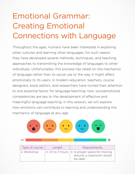## Emotional Grammar: Creating Emotional Connections with Language

Throughout the ages, humans have been interested in exploring other cultures and learning other languages, for such reason they have developed several methods, techniques, and teaching approaches to transmitting the knowledge of languages to other individuals. Unfortunately, this process has relied on the mechanics of language rather than its social use or the way it might affect emotionally to its users. In modern education, teachers, course designers, book editors, and researchers have turned their attention to one essential factor for language teaching; now, socioemotional competencies are key to the development of effective and meaningful language teaching. In this session, we will explore how emotions can contribute to learning and understanding the mechanics of language at any age.

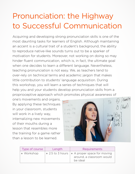#### Pronunciation: the Highway to Successful Communication

Acquiring and developing strong pronunciation skills is one of the most daunting tasks for learners of English. Although maintaining an accent is a cultural trait of a student's background, the ability to reproduce native-like sounds turns out to be a sparker of motivation for students. Moreover, not working on doing so may hinder fluent communication, which is, in fact, the ultimate goal when one decides to learn a different language. Nevertheless, teaching pronunciation is not easy. We, as teachers tend to over-rely on technical terms and academic jargon that makes little contribution to students' language acquisition. During this workshop, you will learn a series of techniques that will help you and your students develop pronunciation skills from a

one's movements and organs. By applying these techniques in your classroom, students will work in a lively way, internalizing new movements of their mouths during a lesson that resembles more the training for a game rather than a lesson to be learned.



| Type of course | Length | <b>Requirements</b>                                                                               |
|----------------|--------|---------------------------------------------------------------------------------------------------|
| • Workshop     |        | $\circ$ 2.5 to 3 hours $\circ$ A proper space for moving<br>around, a classroom would<br>be ideal |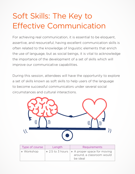#### Soft Skills: The Key to Effective Communication

For achieving real communication, it is essential to be eloquent, assertive, and resourceful; having excellent communication skills is often related to the knowledge of linguistic elements that enrich the use of language, but as social beings, it is vital to acknowledge the importance of the development of a set of skills which will improve our communicative capabilities.

During this session, attendees will have the opportunity to explore a set of skills known as soft skills to help users of the language to become successful communicators under several social circumstances and cultural interactions.



| Type of course | Length | <b>Requirements</b>                                                                     |
|----------------|--------|-----------------------------------------------------------------------------------------|
| • Workshop     |        | • 2.5 to 3 hours   • A proper space for moving<br>around, a classroom would<br>be ideal |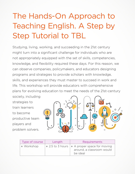## The Hands-On Approach to Teaching English. A Step by Step Tutorial to TBL

Studying, living, working, and succeeding in the 21st century might turn into a significant challenge for individuals who are not appropriately equipped with the set of skills, competencies, knowledge, and flexibility required these days. For this reason, we can observe companies, policymakers, and educators designing programs and strategies to provide scholars with knowledge, skills, and experiences they must master to succeed in work and life. This workshop will provide educators with comprehensive plans for evolving education to meet the needs of the 21st-century society, including

strategies to train learners to become productive team players and problem solvers.



| Type of course | Length | <b>Requirements</b>                                                                               |
|----------------|--------|---------------------------------------------------------------------------------------------------|
| • Workshop     |        | $\circ$ 2.5 to 3 hours $\circ$ A proper space for moving<br>around, a classroom would<br>be ideal |